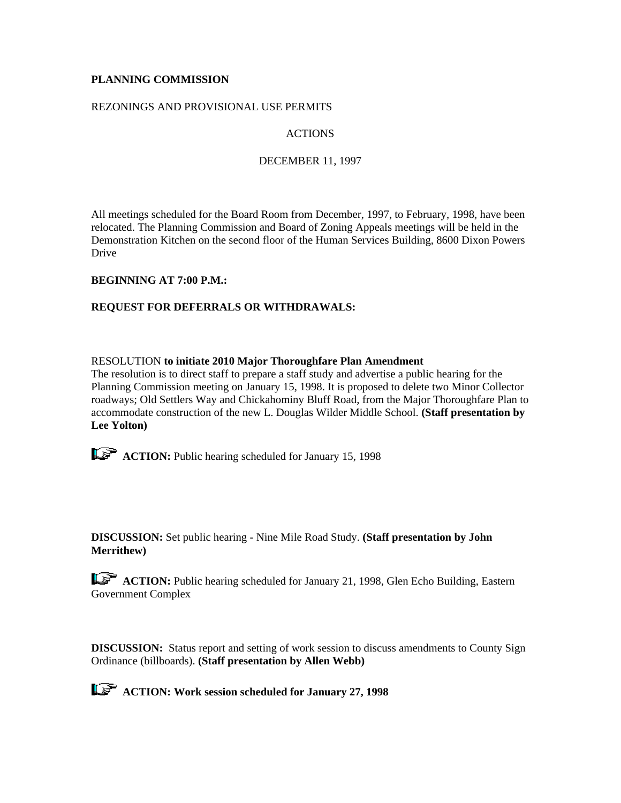# **PLANNING COMMISSION**

# REZONINGS AND PROVISIONAL USE PERMITS

# ACTIONS

## DECEMBER 11, 1997

All meetings scheduled for the Board Room from December, 1997, to February, 1998, have been relocated. The Planning Commission and Board of Zoning Appeals meetings will be held in the Demonstration Kitchen on the second floor of the Human Services Building, 8600 Dixon Powers Drive

# **BEGINNING AT 7:00 P.M.:**

# **REQUEST FOR DEFERRALS OR WITHDRAWALS:**

#### RESOLUTION **to initiate 2010 Major Thoroughfare Plan Amendment**

The resolution is to direct staff to prepare a staff study and advertise a public hearing for the Planning Commission meeting on January 15, 1998. It is proposed to delete two Minor Collector roadways; Old Settlers Way and Chickahominy Bluff Road, from the Major Thoroughfare Plan to accommodate construction of the new L. Douglas Wilder Middle School. **(Staff presentation by Lee Yolton)**

**ACTION:** Public hearing scheduled for January 15, 1998

**DISCUSSION:** Set public hearing - Nine Mile Road Study. **(Staff presentation by John Merrithew)**

**ACTION:** Public hearing scheduled for January 21, 1998, Glen Echo Building, Eastern Government Complex

**DISCUSSION:** Status report and setting of work session to discuss amendments to County Sign Ordinance (billboards). **(Staff presentation by Allen Webb)**

 **ACTION: Work session scheduled for January 27, 1998**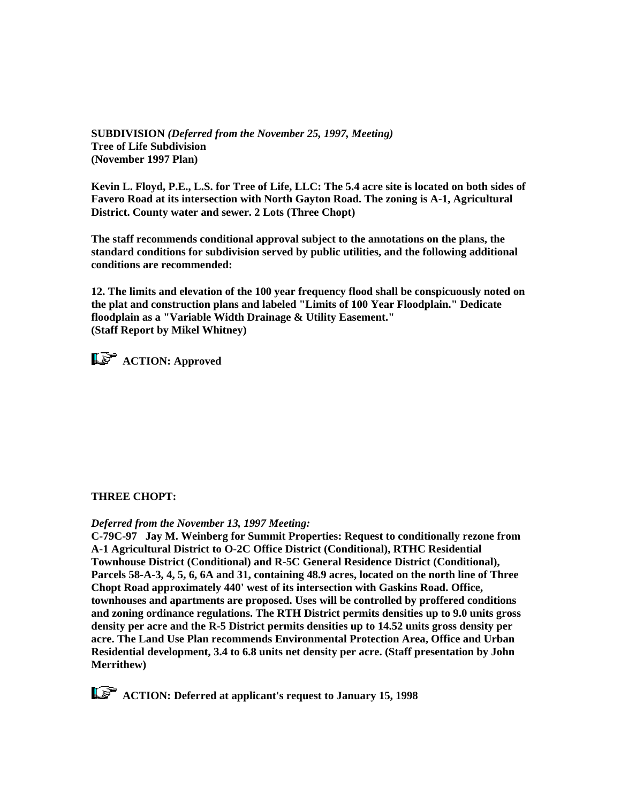**SUBDIVISION** *(Deferred from the November 25, 1997, Meeting)* **Tree of Life Subdivision (November 1997 Plan)**

**Kevin L. Floyd, P.E., L.S. for Tree of Life, LLC: The 5.4 acre site is located on both sides of Favero Road at its intersection with North Gayton Road. The zoning is A-1, Agricultural District. County water and sewer. 2 Lots (Three Chopt)**

**The staff recommends conditional approval subject to the annotations on the plans, the standard conditions for subdivision served by public utilities, and the following additional conditions are recommended:**

**12. The limits and elevation of the 100 year frequency flood shall be conspicuously noted on the plat and construction plans and labeled "Limits of 100 Year Floodplain." Dedicate floodplain as a "Variable Width Drainage & Utility Easement." (Staff Report by Mikel Whitney)**



# **THREE CHOPT:**

#### *Deferred from the November 13, 1997 Meeting:*

**C-79C-97 Jay M. Weinberg for Summit Properties: Request to conditionally rezone from A-1 Agricultural District to O-2C Office District (Conditional), RTHC Residential Townhouse District (Conditional) and R-5C General Residence District (Conditional), Parcels 58-A-3, 4, 5, 6, 6A and 31, containing 48.9 acres, located on the north line of Three Chopt Road approximately 440' west of its intersection with Gaskins Road. Office, townhouses and apartments are proposed. Uses will be controlled by proffered conditions and zoning ordinance regulations. The RTH District permits densities up to 9.0 units gross density per acre and the R-5 District permits densities up to 14.52 units gross density per acre. The Land Use Plan recommends Environmental Protection Area, Office and Urban Residential development, 3.4 to 6.8 units net density per acre. (Staff presentation by John Merrithew)**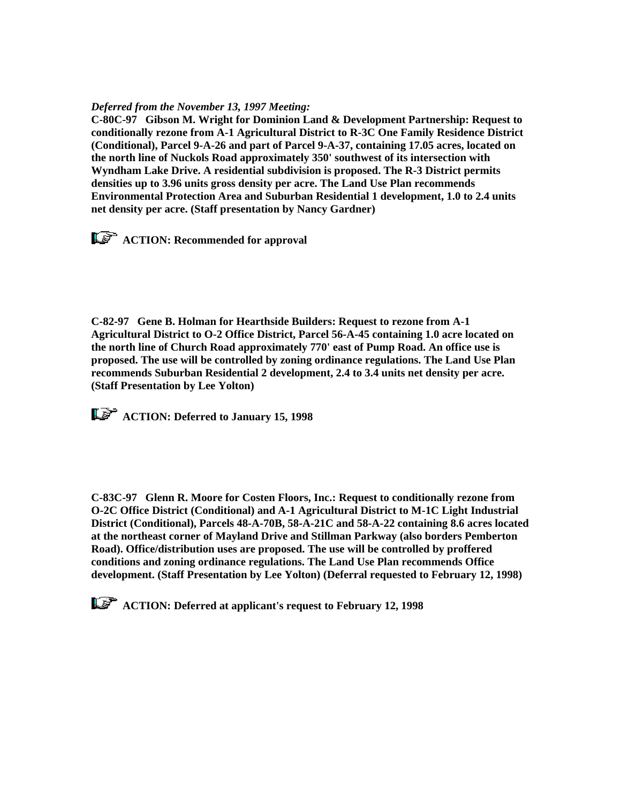### *Deferred from the November 13, 1997 Meeting:*

**C-80C-97 Gibson M. Wright for Dominion Land & Development Partnership: Request to conditionally rezone from A-1 Agricultural District to R-3C One Family Residence District (Conditional), Parcel 9-A-26 and part of Parcel 9-A-37, containing 17.05 acres, located on the north line of Nuckols Road approximately 350' southwest of its intersection with Wyndham Lake Drive. A residential subdivision is proposed. The R-3 District permits densities up to 3.96 units gross density per acre. The Land Use Plan recommends Environmental Protection Area and Suburban Residential 1 development, 1.0 to 2.4 units net density per acre. (Staff presentation by Nancy Gardner)**

*<u>ACTION:</u>* **Recommended for approval** 

**C-82-97 Gene B. Holman for Hearthside Builders: Request to rezone from A-1 Agricultural District to O-2 Office District, Parcel 56-A-45 containing 1.0 acre located on the north line of Church Road approximately 770' east of Pump Road. An office use is proposed. The use will be controlled by zoning ordinance regulations. The Land Use Plan recommends Suburban Residential 2 development, 2.4 to 3.4 units net density per acre. (Staff Presentation by Lee Yolton)**

 **ACTION: Deferred to January 15, 1998**

**C-83C-97 Glenn R. Moore for Costen Floors, Inc.: Request to conditionally rezone from O-2C Office District (Conditional) and A-1 Agricultural District to M-1C Light Industrial District (Conditional), Parcels 48-A-70B, 58-A-21C and 58-A-22 containing 8.6 acres located at the northeast corner of Mayland Drive and Stillman Parkway (also borders Pemberton Road). Office/distribution uses are proposed. The use will be controlled by proffered conditions and zoning ordinance regulations. The Land Use Plan recommends Office development. (Staff Presentation by Lee Yolton) (Deferral requested to February 12, 1998)**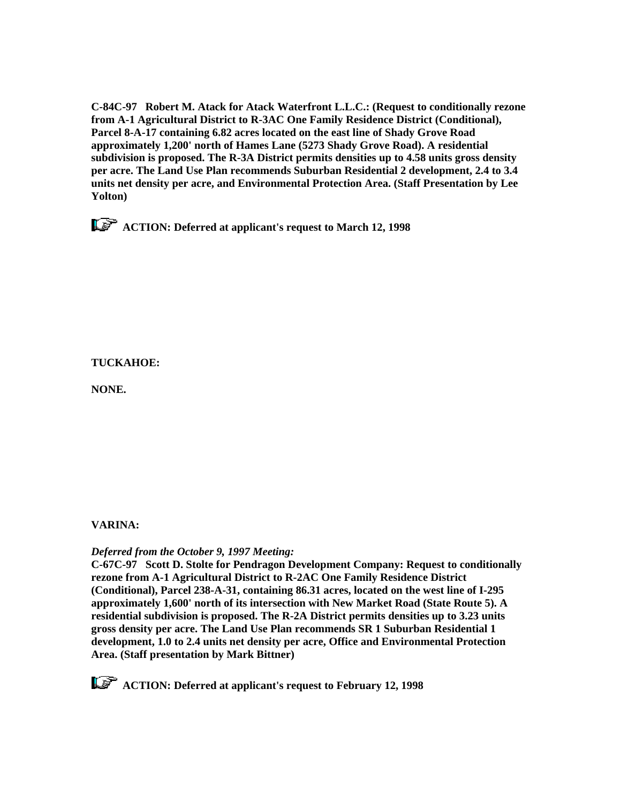**C-84C-97 Robert M. Atack for Atack Waterfront L.L.C.: (Request to conditionally rezone from A-1 Agricultural District to R-3AC One Family Residence District (Conditional), Parcel 8-A-17 containing 6.82 acres located on the east line of Shady Grove Road approximately 1,200' north of Hames Lane (5273 Shady Grove Road). A residential subdivision is proposed. The R-3A District permits densities up to 4.58 units gross density per acre. The Land Use Plan recommends Suburban Residential 2 development, 2.4 to 3.4 units net density per acre, and Environmental Protection Area. (Staff Presentation by Lee Yolton)**

 **ACTION: Deferred at applicant's request to March 12, 1998**

# **TUCKAHOE:**

**NONE.** 

# **VARINA:**

# *Deferred from the October 9, 1997 Meeting:*

**C-67C-97 Scott D. Stolte for Pendragon Development Company: Request to conditionally rezone from A-1 Agricultural District to R-2AC One Family Residence District (Conditional), Parcel 238-A-31, containing 86.31 acres, located on the west line of I-295 approximately 1,600' north of its intersection with New Market Road (State Route 5). A residential subdivision is proposed. The R-2A District permits densities up to 3.23 units gross density per acre. The Land Use Plan recommends SR 1 Suburban Residential 1 development, 1.0 to 2.4 units net density per acre, Office and Environmental Protection Area. (Staff presentation by Mark Bittner)**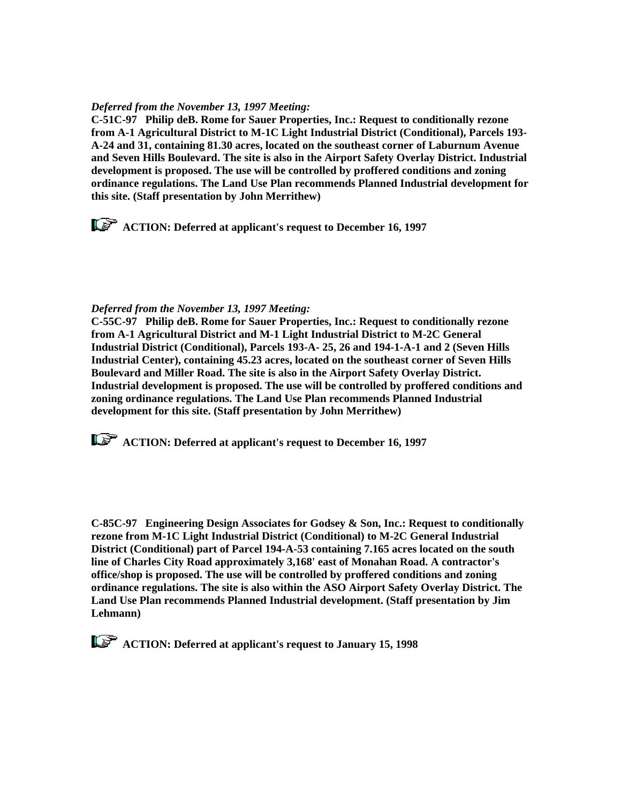### *Deferred from the November 13, 1997 Meeting:*

**C-51C-97 Philip deB. Rome for Sauer Properties, Inc.: Request to conditionally rezone from A-1 Agricultural District to M-1C Light Industrial District (Conditional), Parcels 193- A-24 and 31, containing 81.30 acres, located on the southeast corner of Laburnum Avenue and Seven Hills Boulevard. The site is also in the Airport Safety Overlay District. Industrial development is proposed. The use will be controlled by proffered conditions and zoning ordinance regulations. The Land Use Plan recommends Planned Industrial development for this site. (Staff presentation by John Merrithew)** 

 **ACTION: Deferred at applicant's request to December 16, 1997**

### *Deferred from the November 13, 1997 Meeting:*

**C-55C-97 Philip deB. Rome for Sauer Properties, Inc.: Request to conditionally rezone from A-1 Agricultural District and M-1 Light Industrial District to M-2C General Industrial District (Conditional), Parcels 193-A- 25, 26 and 194-1-A-1 and 2 (Seven Hills Industrial Center), containing 45.23 acres, located on the southeast corner of Seven Hills Boulevard and Miller Road. The site is also in the Airport Safety Overlay District. Industrial development is proposed. The use will be controlled by proffered conditions and zoning ordinance regulations. The Land Use Plan recommends Planned Industrial development for this site. (Staff presentation by John Merrithew)** 

 **ACTION: Deferred at applicant's request to December 16, 1997**

**C-85C-97 Engineering Design Associates for Godsey & Son, Inc.: Request to conditionally rezone from M-1C Light Industrial District (Conditional) to M-2C General Industrial District (Conditional) part of Parcel 194-A-53 containing 7.165 acres located on the south line of Charles City Road approximately 3,168' east of Monahan Road. A contractor's office/shop is proposed. The use will be controlled by proffered conditions and zoning ordinance regulations. The site is also within the ASO Airport Safety Overlay District. The Land Use Plan recommends Planned Industrial development. (Staff presentation by Jim Lehmann)**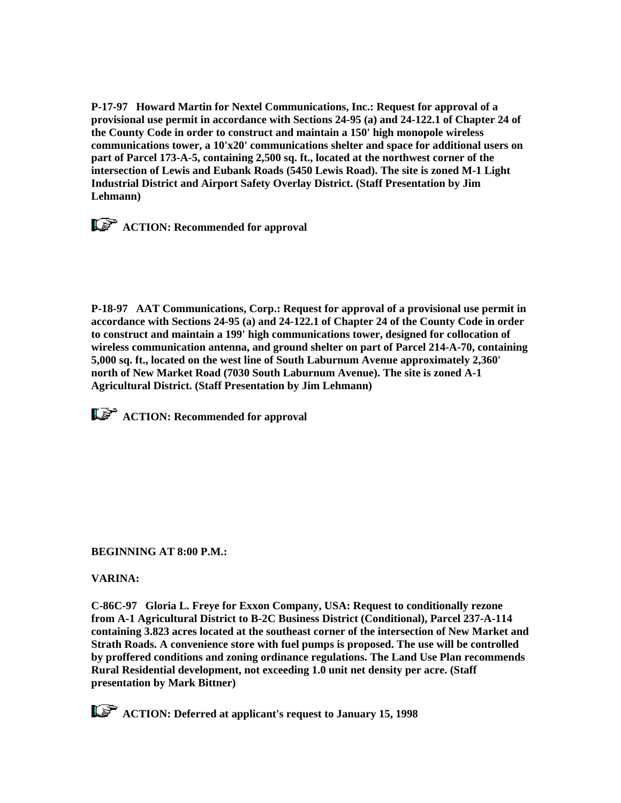**P-17-97 Howard Martin for Nextel Communications, Inc.: Request for approval of a provisional use permit in accordance with Sections 24-95 (a) and 24-122.1 of Chapter 24 of the County Code in order to construct and maintain a 150' high monopole wireless communications tower, a 10'x20' communications shelter and space for additional users on part of Parcel 173-A-5, containing 2,500 sq. ft., located at the northwest corner of the intersection of Lewis and Eubank Roads (5450 Lewis Road). The site is zoned M-1 Light Industrial District and Airport Safety Overlay District. (Staff Presentation by Jim Lehmann)**

*ACTION: Recommended for approval* 

**P-18-97 AAT Communications, Corp.: Request for approval of a provisional use permit in accordance with Sections 24-95 (a) and 24-122.1 of Chapter 24 of the County Code in order to construct and maintain a 199' high communications tower, designed for collocation of wireless communication antenna, and ground shelter on part of Parcel 214-A-70, containing 5,000 sq. ft., located on the west line of South Laburnum Avenue approximately 2,360' north of New Market Road (7030 South Laburnum Avenue). The site is zoned A-1 Agricultural District. (Staff Presentation by Jim Lehmann)**

*<b>ACTION:* Recommended for approval

**BEGINNING AT 8:00 P.M.:**

**VARINA:**

**C-86C-97 Gloria L. Freye for Exxon Company, USA: Request to conditionally rezone from A-1 Agricultural District to B-2C Business District (Conditional), Parcel 237-A-114 containing 3.823 acres located at the southeast corner of the intersection of New Market and Strath Roads. A convenience store with fuel pumps is proposed. The use will be controlled by proffered conditions and zoning ordinance regulations. The Land Use Plan recommends Rural Residential development, not exceeding 1.0 unit net density per acre. (Staff presentation by Mark Bittner)**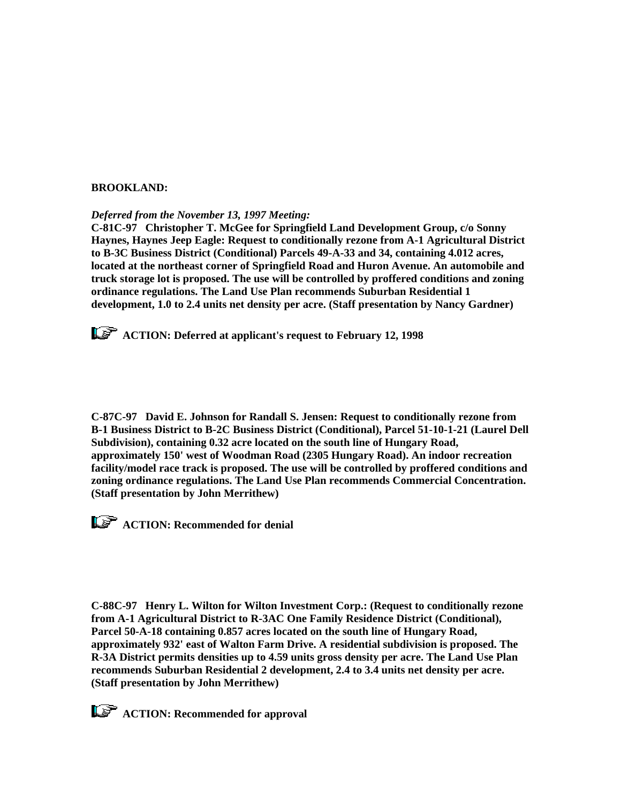### **BROOKLAND:**

*Deferred from the November 13, 1997 Meeting:*

**C-81C-97 Christopher T. McGee for Springfield Land Development Group, c/o Sonny Haynes, Haynes Jeep Eagle: Request to conditionally rezone from A-1 Agricultural District to B-3C Business District (Conditional) Parcels 49-A-33 and 34, containing 4.012 acres, located at the northeast corner of Springfield Road and Huron Avenue. An automobile and truck storage lot is proposed. The use will be controlled by proffered conditions and zoning ordinance regulations. The Land Use Plan recommends Suburban Residential 1 development, 1.0 to 2.4 units net density per acre. (Staff presentation by Nancy Gardner)**

 **ACTION: Deferred at applicant's request to February 12, 1998**

**C-87C-97 David E. Johnson for Randall S. Jensen: Request to conditionally rezone from B-1 Business District to B-2C Business District (Conditional), Parcel 51-10-1-21 (Laurel Dell Subdivision), containing 0.32 acre located on the south line of Hungary Road, approximately 150' west of Woodman Road (2305 Hungary Road). An indoor recreation facility/model race track is proposed. The use will be controlled by proffered conditions and zoning ordinance regulations. The Land Use Plan recommends Commercial Concentration. (Staff presentation by John Merrithew)**

**ACTION: Recommended for denial** 

**C-88C-97 Henry L. Wilton for Wilton Investment Corp.: (Request to conditionally rezone from A-1 Agricultural District to R-3AC One Family Residence District (Conditional), Parcel 50-A-18 containing 0.857 acres located on the south line of Hungary Road, approximately 932' east of Walton Farm Drive. A residential subdivision is proposed. The R-3A District permits densities up to 4.59 units gross density per acre. The Land Use Plan recommends Suburban Residential 2 development, 2.4 to 3.4 units net density per acre. (Staff presentation by John Merrithew)**

*ACTION: Recommended for approval*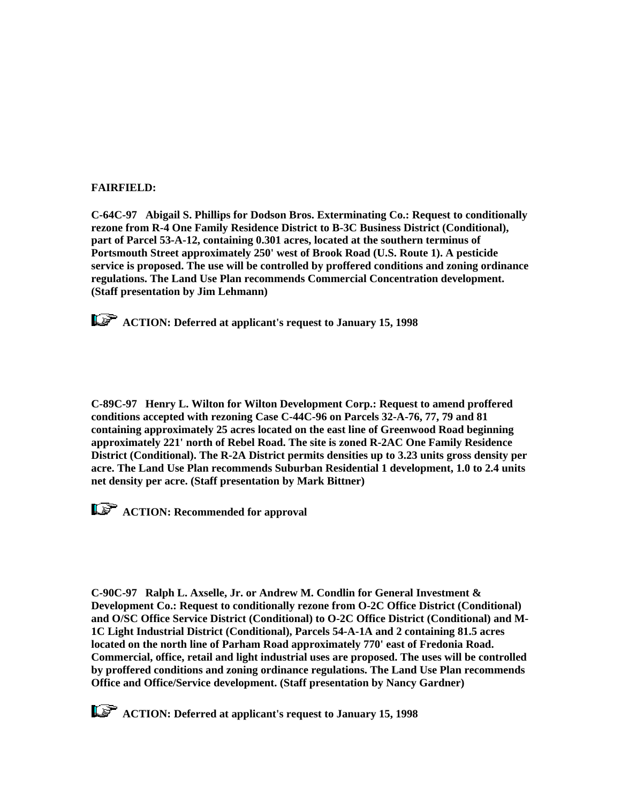#### **FAIRFIELD:**

**C-64C-97 Abigail S. Phillips for Dodson Bros. Exterminating Co.: Request to conditionally rezone from R-4 One Family Residence District to B-3C Business District (Conditional), part of Parcel 53-A-12, containing 0.301 acres, located at the southern terminus of Portsmouth Street approximately 250' west of Brook Road (U.S. Route 1). A pesticide service is proposed. The use will be controlled by proffered conditions and zoning ordinance regulations. The Land Use Plan recommends Commercial Concentration development. (Staff presentation by Jim Lehmann)** 

 **ACTION: Deferred at applicant's request to January 15, 1998**

**C-89C-97 Henry L. Wilton for Wilton Development Corp.: Request to amend proffered conditions accepted with rezoning Case C-44C-96 on Parcels 32-A-76, 77, 79 and 81 containing approximately 25 acres located on the east line of Greenwood Road beginning approximately 221' north of Rebel Road. The site is zoned R-2AC One Family Residence District (Conditional). The R-2A District permits densities up to 3.23 units gross density per acre. The Land Use Plan recommends Suburban Residential 1 development, 1.0 to 2.4 units net density per acre. (Staff presentation by Mark Bittner)**

**ACTION: Recommended for approval** 

**C-90C-97 Ralph L. Axselle, Jr. or Andrew M. Condlin for General Investment & Development Co.: Request to conditionally rezone from O-2C Office District (Conditional) and O/SC Office Service District (Conditional) to O-2C Office District (Conditional) and M-1C Light Industrial District (Conditional), Parcels 54-A-1A and 2 containing 81.5 acres located on the north line of Parham Road approximately 770' east of Fredonia Road. Commercial, office, retail and light industrial uses are proposed. The uses will be controlled by proffered conditions and zoning ordinance regulations. The Land Use Plan recommends Office and Office/Service development. (Staff presentation by Nancy Gardner)**